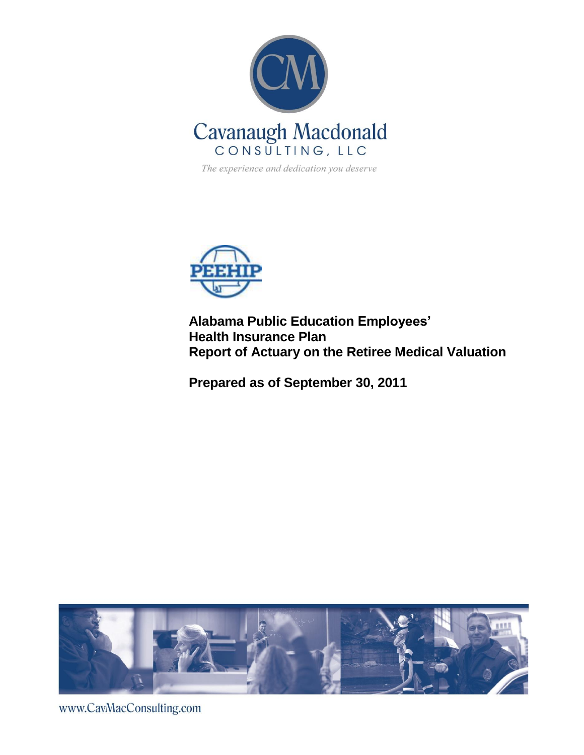

The experience and dedication you deserve



**Alabama Public Education Employees' Health Insurance Plan Report of Actuary on the Retiree Medical Valuation**

**Prepared as of September 30, 2011**



www.CavMacConsulting.com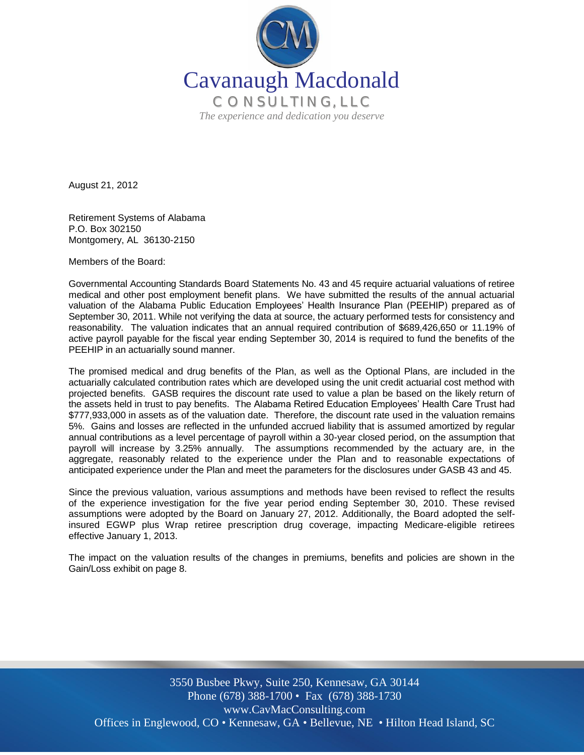

August 21, 2012

Retirement Systems of Alabama P.O. Box 302150 Montgomery, AL 36130-2150

Members of the Board:

Governmental Accounting Standards Board Statements No. 43 and 45 require actuarial valuations of retiree medical and other post employment benefit plans. We have submitted the results of the annual actuarial valuation of the Alabama Public Education Employees' Health Insurance Plan (PEEHIP) prepared as of September 30, 2011. While not verifying the data at source, the actuary performed tests for consistency and reasonability. The valuation indicates that an annual required contribution of \$689,426,650 or 11.19% of active payroll payable for the fiscal year ending September 30, 2014 is required to fund the benefits of the PEEHIP in an actuarially sound manner.

The promised medical and drug benefits of the Plan, as well as the Optional Plans, are included in the actuarially calculated contribution rates which are developed using the unit credit actuarial cost method with projected benefits. GASB requires the discount rate used to value a plan be based on the likely return of the assets held in trust to pay benefits. The Alabama Retired Education Employees' Health Care Trust had \$777,933,000 in assets as of the valuation date. Therefore, the discount rate used in the valuation remains 5%. Gains and losses are reflected in the unfunded accrued liability that is assumed amortized by regular annual contributions as a level percentage of payroll within a 30-year closed period, on the assumption that payroll will increase by 3.25% annually. The assumptions recommended by the actuary are, in the aggregate, reasonably related to the experience under the Plan and to reasonable expectations of anticipated experience under the Plan and meet the parameters for the disclosures under GASB 43 and 45.

Since the previous valuation, various assumptions and methods have been revised to reflect the results of the experience investigation for the five year period ending September 30, 2010. These revised assumptions were adopted by the Board on January 27, 2012. Additionally, the Board adopted the selfinsured EGWP plus Wrap retiree prescription drug coverage, impacting Medicare-eligible retirees effective January 1, 2013.

The impact on the valuation results of the changes in premiums, benefits and policies are shown in the Gain/Loss exhibit on page 8.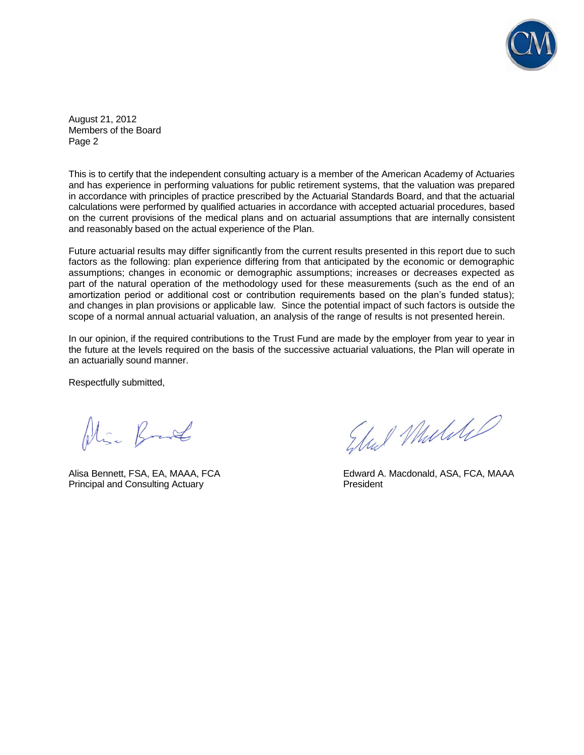![](_page_2_Picture_0.jpeg)

August 21, 2012 Members of the Board Page 2

This is to certify that the independent consulting actuary is a member of the American Academy of Actuaries and has experience in performing valuations for public retirement systems, that the valuation was prepared in accordance with principles of practice prescribed by the Actuarial Standards Board, and that the actuarial calculations were performed by qualified actuaries in accordance with accepted actuarial procedures, based on the current provisions of the medical plans and on actuarial assumptions that are internally consistent and reasonably based on the actual experience of the Plan.

Future actuarial results may differ significantly from the current results presented in this report due to such factors as the following: plan experience differing from that anticipated by the economic or demographic assumptions; changes in economic or demographic assumptions; increases or decreases expected as part of the natural operation of the methodology used for these measurements (such as the end of an amortization period or additional cost or contribution requirements based on the plan's funded status); and changes in plan provisions or applicable law. Since the potential impact of such factors is outside the scope of a normal annual actuarial valuation, an analysis of the range of results is not presented herein.

In our opinion, if the required contributions to the Trust Fund are made by the employer from year to year in the future at the levels required on the basis of the successive actuarial valuations, the Plan will operate in an actuarially sound manner.

Respectfully submitted,

Niger Brand

Principal and Consulting Actuary **Principal and Consulting Actuary** President

Elul Mulike

Alisa Bennett, FSA, EA, MAAA, FCA Edward A. Macdonald, ASA, FCA, MAAA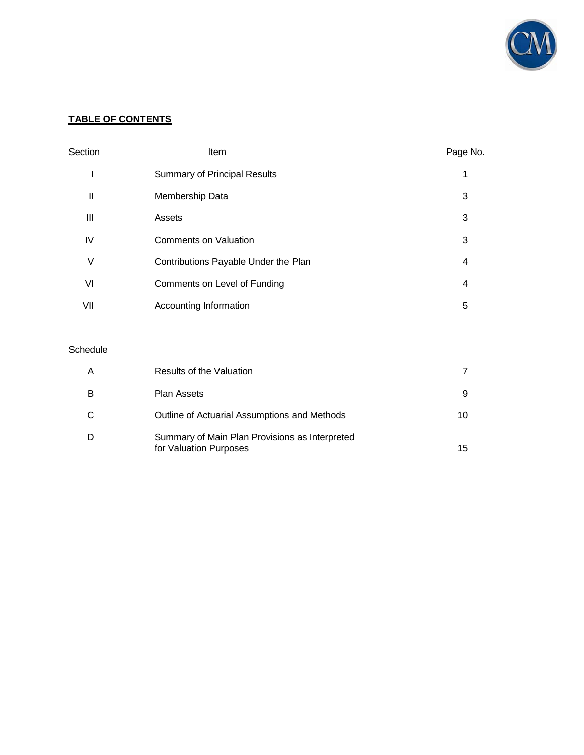![](_page_3_Picture_0.jpeg)

# **TABLE OF CONTENTS**

| Section | Item                                 | Page No. |
|---------|--------------------------------------|----------|
|         | <b>Summary of Principal Results</b>  | 1        |
| Ш       | Membership Data                      | 3        |
| Ш       | Assets                               | 3        |
| IV      | Comments on Valuation                | 3        |
| V       | Contributions Payable Under the Plan | 4        |
| VI      | Comments on Level of Funding         | 4        |
| VII     | Accounting Information               | 5        |

# **Schedule**

| Α | Results of the Valuation                                                 |    |
|---|--------------------------------------------------------------------------|----|
| в | <b>Plan Assets</b>                                                       | 9  |
|   | Outline of Actuarial Assumptions and Methods                             | 10 |
|   | Summary of Main Plan Provisions as Interpreted<br>for Valuation Purposes | 15 |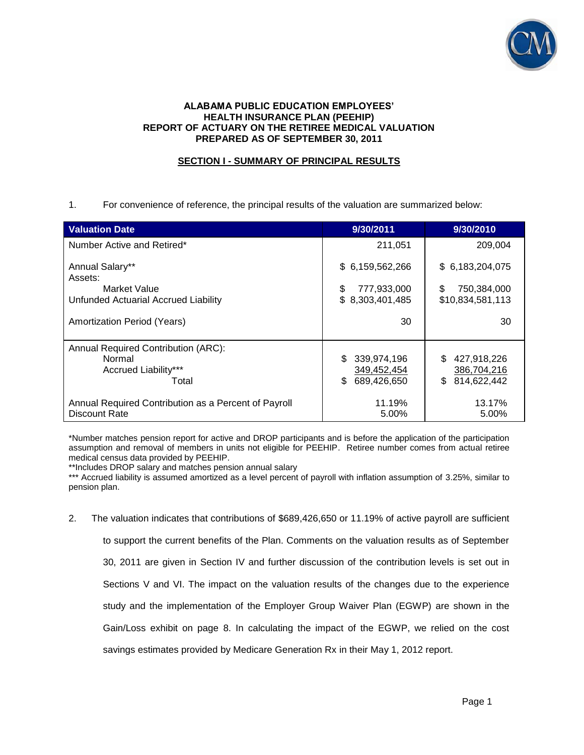![](_page_4_Picture_0.jpeg)

### **ALABAMA PUBLIC EDUCATION EMPLOYEES' HEALTH INSURANCE PLAN (PEEHIP) REPORT OF ACTUARY ON THE RETIREE MEDICAL VALUATION PREPARED AS OF SEPTEMBER 30, 2011**

# **SECTION I - SUMMARY OF PRINCIPAL RESULTS**

1. For convenience of reference, the principal results of the valuation are summarized below:

| <b>Valuation Date</b>                                | 9/30/2011         | 9/30/2010          |
|------------------------------------------------------|-------------------|--------------------|
| Number Active and Retired*                           | 211,051           | 209,004            |
| Annual Salary**<br>Assets:                           | \$6,159,562,266   | \$6,183,204,075    |
| Market Value                                         | \$<br>777,933,000 | \$<br>750.384.000  |
| Unfunded Actuarial Accrued Liability                 | \$8,303,401,485   | \$10,834,581,113   |
| Amortization Period (Years)                          | 30                | 30                 |
| Annual Required Contribution (ARC):                  |                   |                    |
| Normal                                               | \$<br>339,974,196 | 427,918,226<br>\$. |
| Accrued Liability***                                 | 349,452,454       | 386,704,216        |
| Total                                                | 689,426,650<br>\$ | 814,622,442<br>\$  |
| Annual Required Contribution as a Percent of Payroll | 11.19%            | 13.17%             |
| Discount Rate                                        | 5.00%             | 5.00%              |

\*Number matches pension report for active and DROP participants and is before the application of the participation assumption and removal of members in units not eligible for PEEHIP. Retiree number comes from actual retiree medical census data provided by PEEHIP.

\*\*Includes DROP salary and matches pension annual salary

\*\*\* Accrued liability is assumed amortized as a level percent of payroll with inflation assumption of 3.25%, similar to pension plan.

2. The valuation indicates that contributions of \$689,426,650 or 11.19% of active payroll are sufficient to support the current benefits of the Plan. Comments on the valuation results as of September 30, 2011 are given in Section IV and further discussion of the contribution levels is set out in Sections V and VI. The impact on the valuation results of the changes due to the experience study and the implementation of the Employer Group Waiver Plan (EGWP) are shown in the Gain/Loss exhibit on page 8. In calculating the impact of the EGWP, we relied on the cost savings estimates provided by Medicare Generation Rx in their May 1, 2012 report.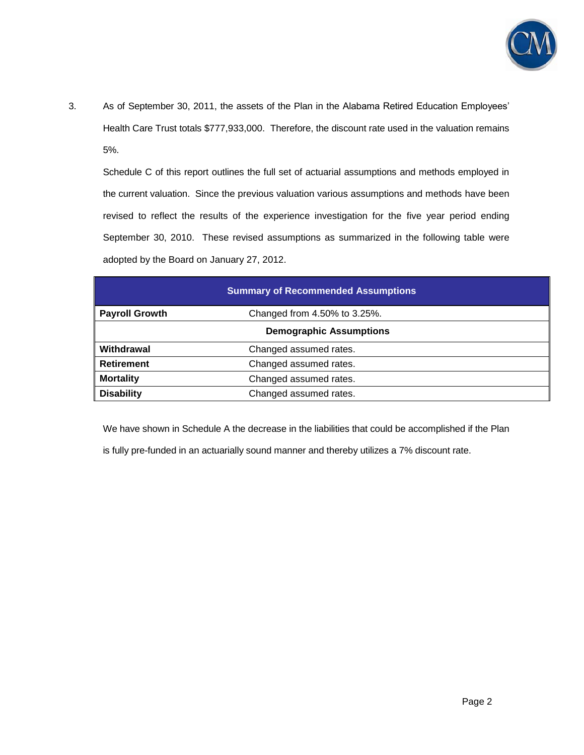![](_page_5_Picture_0.jpeg)

3. As of September 30, 2011, the assets of the Plan in the Alabama Retired Education Employees' Health Care Trust totals \$777,933,000. Therefore, the discount rate used in the valuation remains 5%.

Schedule C of this report outlines the full set of actuarial assumptions and methods employed in the current valuation. Since the previous valuation various assumptions and methods have been revised to reflect the results of the experience investigation for the five year period ending September 30, 2010. These revised assumptions as summarized in the following table were adopted by the Board on January 27, 2012.

| <b>Summary of Recommended Assumptions</b> |                              |  |
|-------------------------------------------|------------------------------|--|
| <b>Payroll Growth</b>                     | Changed from 4.50% to 3.25%. |  |
| <b>Demographic Assumptions</b>            |                              |  |
| Withdrawal                                | Changed assumed rates.       |  |
| <b>Retirement</b>                         | Changed assumed rates.       |  |
| <b>Mortality</b>                          | Changed assumed rates.       |  |
| <b>Disability</b>                         | Changed assumed rates.       |  |

We have shown in Schedule A the decrease in the liabilities that could be accomplished if the Plan

is fully pre-funded in an actuarially sound manner and thereby utilizes a 7% discount rate.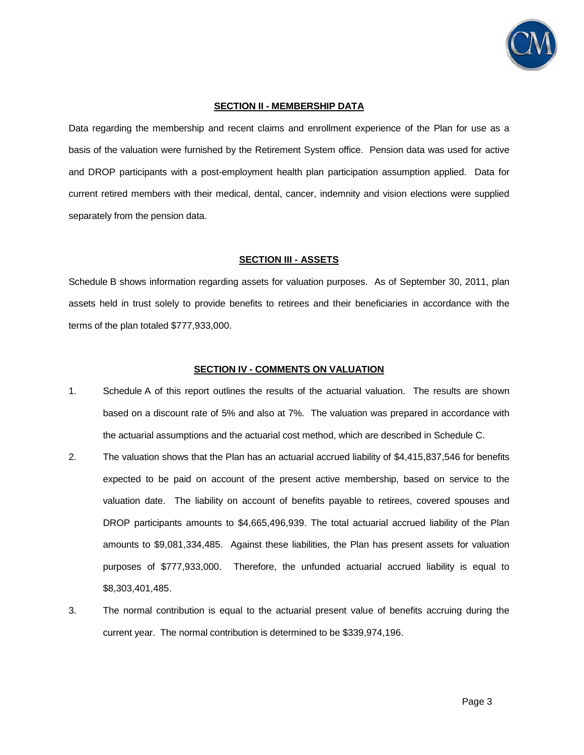![](_page_6_Picture_0.jpeg)

#### **SECTION II - MEMBERSHIP DATA**

Data regarding the membership and recent claims and enrollment experience of the Plan for use as a basis of the valuation were furnished by the Retirement System office. Pension data was used for active and DROP participants with a post-employment health plan participation assumption applied. Data for current retired members with their medical, dental, cancer, indemnity and vision elections were supplied separately from the pension data.

#### **SECTION III - ASSETS**

Schedule B shows information regarding assets for valuation purposes. As of September 30, 2011, plan assets held in trust solely to provide benefits to retirees and their beneficiaries in accordance with the terms of the plan totaled \$777,933,000.

#### **SECTION IV - COMMENTS ON VALUATION**

- 1. Schedule A of this report outlines the results of the actuarial valuation. The results are shown based on a discount rate of 5% and also at 7%. The valuation was prepared in accordance with the actuarial assumptions and the actuarial cost method, which are described in Schedule C.
- 2. The valuation shows that the Plan has an actuarial accrued liability of \$4,415,837,546 for benefits expected to be paid on account of the present active membership, based on service to the valuation date. The liability on account of benefits payable to retirees, covered spouses and DROP participants amounts to \$4,665,496,939. The total actuarial accrued liability of the Plan amounts to \$9,081,334,485. Against these liabilities, the Plan has present assets for valuation purposes of \$777,933,000. Therefore, the unfunded actuarial accrued liability is equal to \$8,303,401,485.
- 3. The normal contribution is equal to the actuarial present value of benefits accruing during the current year. The normal contribution is determined to be \$339,974,196.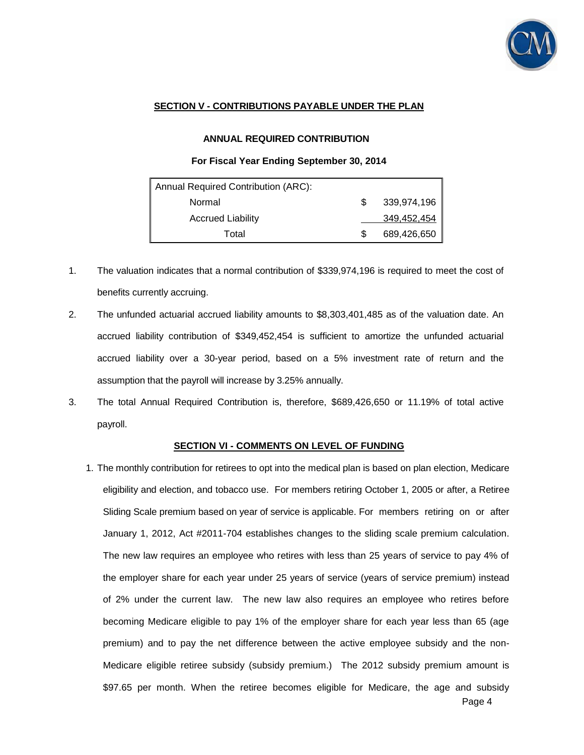![](_page_7_Picture_0.jpeg)

## **SECTION V - CONTRIBUTIONS PAYABLE UNDER THE PLAN**

### **ANNUAL REQUIRED CONTRIBUTION**

### **For Fiscal Year Ending September 30, 2014**

| Annual Required Contribution (ARC): |  |             |  |
|-------------------------------------|--|-------------|--|
| Normal                              |  | 339,974,196 |  |
| <b>Accrued Liability</b>            |  | 349,452,454 |  |
| Total                               |  | 689,426,650 |  |

- 1. The valuation indicates that a normal contribution of \$339,974,196 is required to meet the cost of benefits currently accruing.
- 2. The unfunded actuarial accrued liability amounts to \$8,303,401,485 as of the valuation date. An accrued liability contribution of \$349,452,454 is sufficient to amortize the unfunded actuarial accrued liability over a 30-year period, based on a 5% investment rate of return and the assumption that the payroll will increase by 3.25% annually.
- 3. The total Annual Required Contribution is, therefore, \$689,426,650 or 11.19% of total active payroll.

### **SECTION VI - COMMENTS ON LEVEL OF FUNDING**

Page 4 1. The monthly contribution for retirees to opt into the medical plan is based on plan election, Medicare eligibility and election, and tobacco use. For members retiring October 1, 2005 or after, a Retiree Sliding Scale premium based on year of service is applicable. For members retiring on or after January 1, 2012, Act #2011-704 establishes changes to the sliding scale premium calculation. The new law requires an employee who retires with less than 25 years of service to pay 4% of the employer share for each year under 25 years of service (years of service premium) instead of 2% under the current law. The new law also requires an employee who retires before becoming Medicare eligible to pay 1% of the employer share for each year less than 65 (age premium) and to pay the net difference between the active employee subsidy and the non-Medicare eligible retiree subsidy (subsidy premium.) The 2012 subsidy premium amount is \$97.65 per month. When the retiree becomes eligible for Medicare, the age and subsidy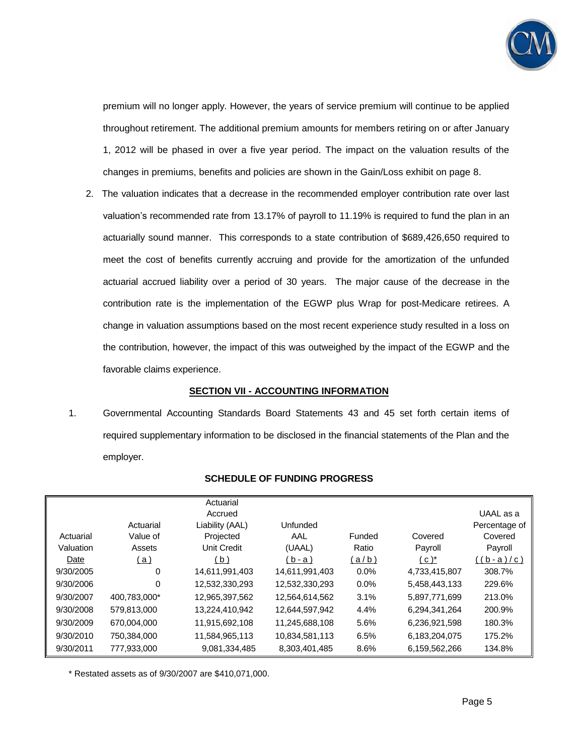![](_page_8_Picture_0.jpeg)

premium will no longer apply. However, the years of service premium will continue to be applied throughout retirement. The additional premium amounts for members retiring on or after January 1, 2012 will be phased in over a five year period. The impact on the valuation results of the changes in premiums, benefits and policies are shown in the Gain/Loss exhibit on page 8.

2. The valuation indicates that a decrease in the recommended employer contribution rate over last valuation's recommended rate from 13.17% of payroll to 11.19% is required to fund the plan in an actuarially sound manner. This corresponds to a state contribution of \$689,426,650 required to meet the cost of benefits currently accruing and provide for the amortization of the unfunded actuarial accrued liability over a period of 30 years. The major cause of the decrease in the contribution rate is the implementation of the EGWP plus Wrap for post-Medicare retirees. A change in valuation assumptions based on the most recent experience study resulted in a loss on the contribution, however, the impact of this was outweighed by the impact of the EGWP and the favorable claims experience.

### **SECTION VII - ACCOUNTING INFORMATION**

1. Governmental Accounting Standards Board Statements 43 and 45 set forth certain items of required supplementary information to be disclosed in the financial statements of the Plan and the employer.

|           |              | Actuarial          |                |        |               |               |
|-----------|--------------|--------------------|----------------|--------|---------------|---------------|
|           |              | Accrued            |                |        |               | UAAL as a     |
|           | Actuarial    | Liability (AAL)    | Unfunded       |        |               | Percentage of |
| Actuarial | Value of     | Projected          | AAL            | Funded | Covered       | Covered       |
| Valuation | Assets       | <b>Unit Credit</b> | (UAAL)         | Ratio  | Payroll       | Payroll       |
| Date      | <u>(a)</u>   | (b)                | $(b-a)$        | (a/b)  | $(c^*)^*$     | ((b-a)/c)     |
| 9/30/2005 | 0            | 14,611,991,403     | 14,611,991,403 | 0.0%   | 4,733,415,807 | 308.7%        |
| 9/30/2006 | 0            | 12,532,330,293     | 12,532,330,293 | 0.0%   | 5,458,443,133 | 229.6%        |
| 9/30/2007 | 400.783.000* | 12,965,397,562     | 12,564,614,562 | 3.1%   | 5,897,771,699 | 213.0%        |
| 9/30/2008 | 579,813,000  | 13,224,410,942     | 12,644,597,942 | 4.4%   | 6,294,341,264 | 200.9%        |
| 9/30/2009 | 670,004,000  | 11,915,692,108     | 11,245,688,108 | 5.6%   | 6,236,921,598 | 180.3%        |
| 9/30/2010 | 750,384,000  | 11,584,965,113     | 10,834,581,113 | 6.5%   | 6,183,204,075 | 175.2%        |
| 9/30/2011 | 777,933,000  | 9,081,334,485      | 8,303,401,485  | 8.6%   | 6,159,562,266 | 134.8%        |

### **SCHEDULE OF FUNDING PROGRESS**

\* Restated assets as of 9/30/2007 are \$410,071,000.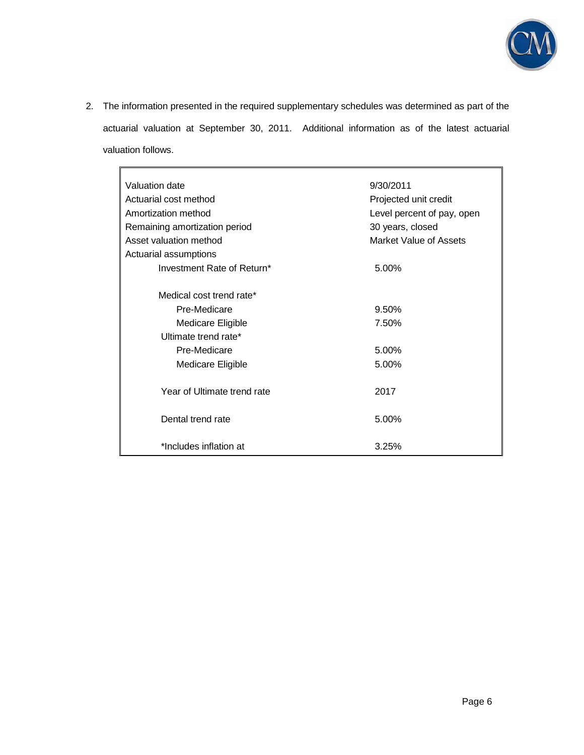![](_page_9_Picture_0.jpeg)

2. The information presented in the required supplementary schedules was determined as part of the actuarial valuation at September 30, 2011. Additional information as of the latest actuarial valuation follows.

| Valuation date                | 9/30/2011                  |
|-------------------------------|----------------------------|
| Actuarial cost method         | Projected unit credit      |
| Amortization method           | Level percent of pay, open |
| Remaining amortization period | 30 years, closed           |
| Asset valuation method        | Market Value of Assets     |
| Actuarial assumptions         |                            |
| Investment Rate of Return*    | 5.00%                      |
| Medical cost trend rate*      |                            |
| Pre-Medicare                  | 9.50%                      |
| <b>Medicare Eligible</b>      | 7.50%                      |
| Ultimate trend rate*          |                            |
| Pre-Medicare                  | 5.00%                      |
| Medicare Eligible             | 5.00%                      |
| Year of Ultimate trend rate   | 2017                       |
| Dental trend rate             | 5.00%                      |
| *Includes inflation at        | 3.25%                      |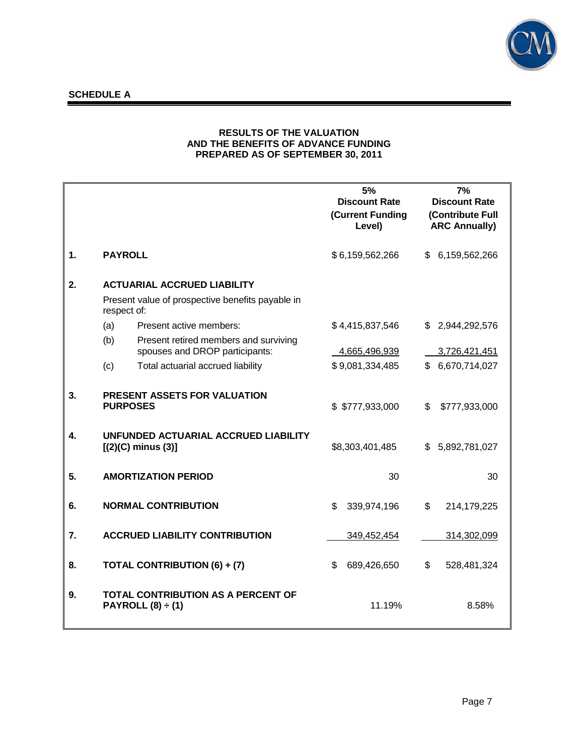![](_page_10_Picture_0.jpeg)

# **SCHEDULE A**

## **RESULTS OF THE VALUATION AND THE BENEFITS OF ADVANCE FUNDING PREPARED AS OF SEPTEMBER 30, 2011**

|    |                            |                                                                         | 5%<br><b>Discount Rate</b><br>(Current Funding<br>Level) | 7%<br><b>Discount Rate</b><br>(Contribute Full<br><b>ARC Annually)</b> |
|----|----------------------------|-------------------------------------------------------------------------|----------------------------------------------------------|------------------------------------------------------------------------|
| 1. | <b>PAYROLL</b>             |                                                                         | \$6,159,562,266                                          | 6,159,562,266<br>\$.                                                   |
| 2. |                            | <b>ACTUARIAL ACCRUED LIABILITY</b>                                      |                                                          |                                                                        |
|    | respect of:                | Present value of prospective benefits payable in                        |                                                          |                                                                        |
|    | (a)                        | Present active members:                                                 | \$4,415,837,546                                          | \$ 2,944,292,576                                                       |
|    | (b)                        | Present retired members and surviving<br>spouses and DROP participants: | 4,665,496,939                                            | 3,726,421,451                                                          |
|    | (c)                        | Total actuarial accrued liability                                       | \$9,081,334,485                                          | 6,670,714,027<br>£.                                                    |
| 3. | <b>PURPOSES</b>            | PRESENT ASSETS FOR VALUATION                                            | \$ \$777,933,000                                         | \$<br>\$777,933,000                                                    |
| 4. | $[(2)(C)$ minus $(3)]$     | UNFUNDED ACTUARIAL ACCRUED LIABILITY                                    | \$8,303,401,485                                          | 5,892,781,027<br>\$.                                                   |
| 5. | <b>AMORTIZATION PERIOD</b> |                                                                         | 30                                                       | 30                                                                     |
| 6. | <b>NORMAL CONTRIBUTION</b> |                                                                         | \$<br>339,974,196                                        | \$<br>214,179,225                                                      |
| 7. |                            | <b>ACCRUED LIABILITY CONTRIBUTION</b>                                   | 349,452,454                                              | 314,302,099                                                            |
| 8. |                            | TOTAL CONTRIBUTION (6) + (7)                                            | \$<br>689,426,650                                        | \$<br>528,481,324                                                      |
| 9. | PAYROLL $(8) \div (1)$     | <b>TOTAL CONTRIBUTION AS A PERCENT OF</b>                               | 11.19%                                                   | 8.58%                                                                  |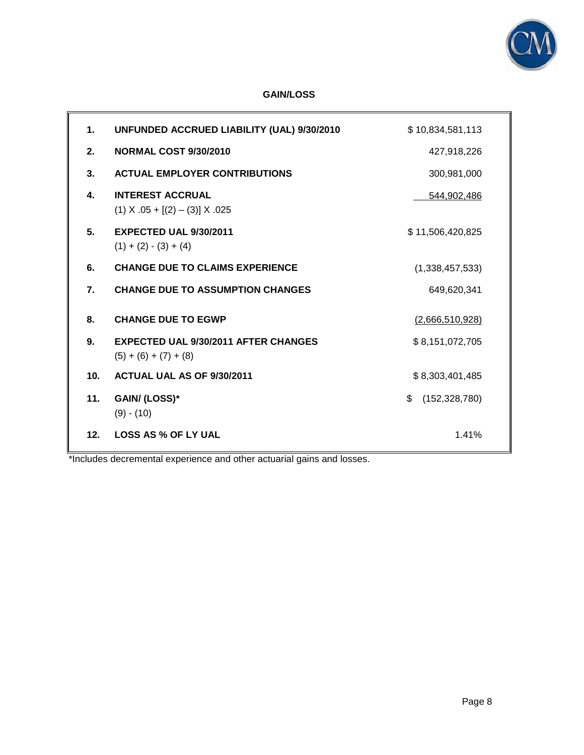![](_page_11_Picture_0.jpeg)

# **GAIN/LOSS**

| 1.              | UNFUNDED ACCRUED LIABILITY (UAL) 9/30/2010                             | \$10,834,581,113      |
|-----------------|------------------------------------------------------------------------|-----------------------|
| 2.              | <b>NORMAL COST 9/30/2010</b>                                           | 427,918,226           |
| 3.              | <b>ACTUAL EMPLOYER CONTRIBUTIONS</b>                                   | 300,981,000           |
| 4.              | <b>INTEREST ACCRUAL</b><br>$(1)$ X .05 + [(2) – (3)] X .025            | 544,902,486           |
| 5.              | <b>EXPECTED UAL 9/30/2011</b><br>$(1) + (2) - (3) + (4)$               | \$11,506,420,825      |
| 6.              | <b>CHANGE DUE TO CLAIMS EXPERIENCE</b>                                 | (1,338,457,533)       |
| 7.              | <b>CHANGE DUE TO ASSUMPTION CHANGES</b>                                | 649,620,341           |
| 8.              | <b>CHANGE DUE TO EGWP</b>                                              | (2,666,510,928)       |
| 9.              | <b>EXPECTED UAL 9/30/2011 AFTER CHANGES</b><br>$(5) + (6) + (7) + (8)$ | \$8,151,072,705       |
| 10 <sub>1</sub> | ACTUAL UAL AS OF 9/30/2011                                             | \$8,303,401,485       |
| 11.             | GAIN/(LOSS)*<br>$(9) - (10)$                                           | \$<br>(152, 328, 780) |
| 12 <sub>1</sub> | <b>LOSS AS % OF LY UAL</b>                                             | 1.41%                 |

\*Includes decremental experience and other actuarial gains and losses.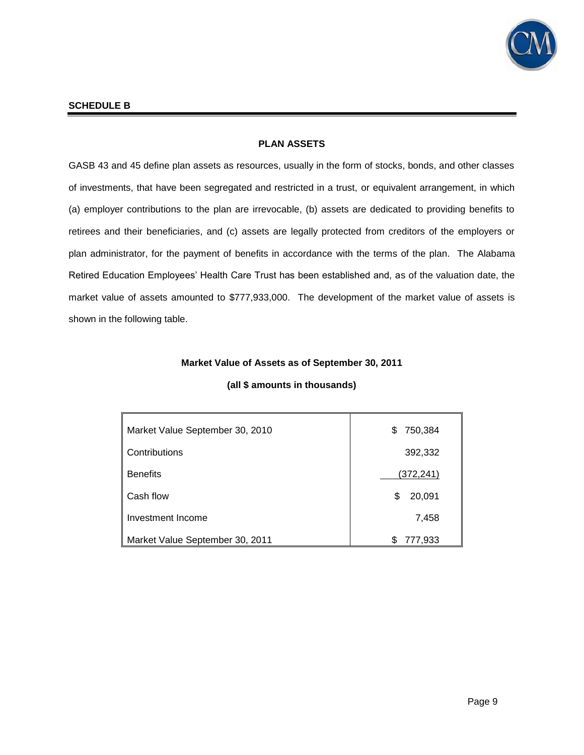![](_page_12_Picture_0.jpeg)

### **SCHEDULE B**

## **PLAN ASSETS**

GASB 43 and 45 define plan assets as resources, usually in the form of stocks, bonds, and other classes of investments, that have been segregated and restricted in a trust, or equivalent arrangement, in which (a) employer contributions to the plan are irrevocable, (b) assets are dedicated to providing benefits to retirees and their beneficiaries, and (c) assets are legally protected from creditors of the employers or plan administrator, for the payment of benefits in accordance with the terms of the plan. The Alabama Retired Education Employees' Health Care Trust has been established and, as of the valuation date, the market value of assets amounted to \$777,933,000. The development of the market value of assets is shown in the following table.

### **Market Value of Assets as of September 30, 2011**

| Market Value September 30, 2010 | 750,384<br>S     |
|---------------------------------|------------------|
| Contributions                   | 392,332          |
| <b>Benefits</b>                 | <u>(372,241)</u> |
| Cash flow                       | 20,091<br>\$     |
| Investment Income               | 7,458            |
| Market Value September 30, 2011 | 777,933<br>S     |

### **(all \$ amounts in thousands)**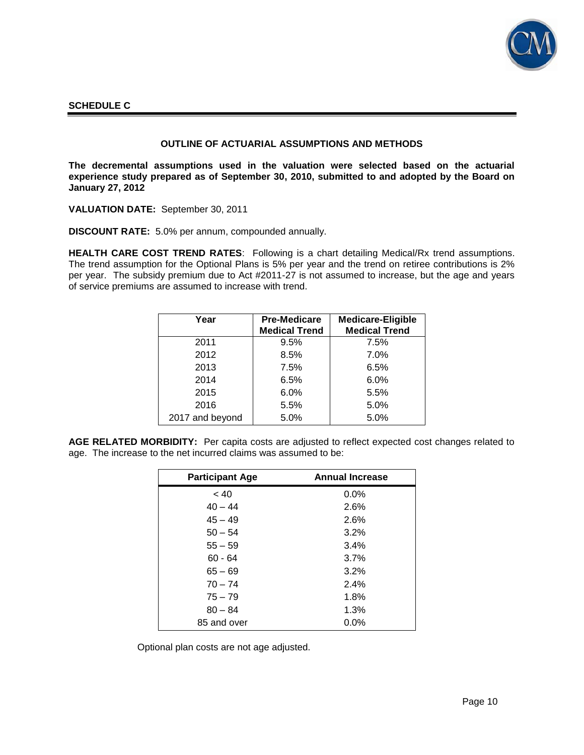![](_page_13_Picture_0.jpeg)

### **SCHEDULE C**

### **OUTLINE OF ACTUARIAL ASSUMPTIONS AND METHODS**

**The decremental assumptions used in the valuation were selected based on the actuarial experience study prepared as of September 30, 2010, submitted to and adopted by the Board on January 27, 2012** 

**VALUATION DATE:** September 30, 2011

**DISCOUNT RATE:** 5.0% per annum, compounded annually.

**HEALTH CARE COST TREND RATES**: Following is a chart detailing Medical/Rx trend assumptions. The trend assumption for the Optional Plans is 5% per year and the trend on retiree contributions is 2% per year. The subsidy premium due to Act #2011-27 is not assumed to increase, but the age and years of service premiums are assumed to increase with trend.

| Year            | <b>Pre-Medicare</b><br><b>Medical Trend</b> | <b>Medicare-Eligible</b><br><b>Medical Trend</b> |
|-----------------|---------------------------------------------|--------------------------------------------------|
| 2011            | 9.5%                                        | 7.5%                                             |
| 2012            | 8.5%                                        | $7.0\%$                                          |
| 2013            | 7.5%                                        | 6.5%                                             |
| 2014            | 6.5%                                        | 6.0%                                             |
| 2015            | 6.0%                                        | 5.5%                                             |
| 2016            | 5.5%                                        | 5.0%                                             |
| 2017 and beyond | 5.0%                                        | 5.0%                                             |

**AGE RELATED MORBIDITY:** Per capita costs are adjusted to reflect expected cost changes related to age. The increase to the net incurred claims was assumed to be:

| <b>Participant Age</b> | <b>Annual Increase</b> |
|------------------------|------------------------|
| ~< 40                  | 0.0%                   |
| $40 - 44$              | 2.6%                   |
| $45 - 49$              | 2.6%                   |
| $50 - 54$              | 3.2%                   |
| $55 - 59$              | 3.4%                   |
| $60 - 64$              | 3.7%                   |
| $65 - 69$              | 3.2%                   |
| $70 - 74$              | 2.4%                   |
| $75 - 79$              | 1.8%                   |
| $80 - 84$              | 1.3%                   |
| 85 and over            | $0.0\%$                |

Optional plan costs are not age adjusted.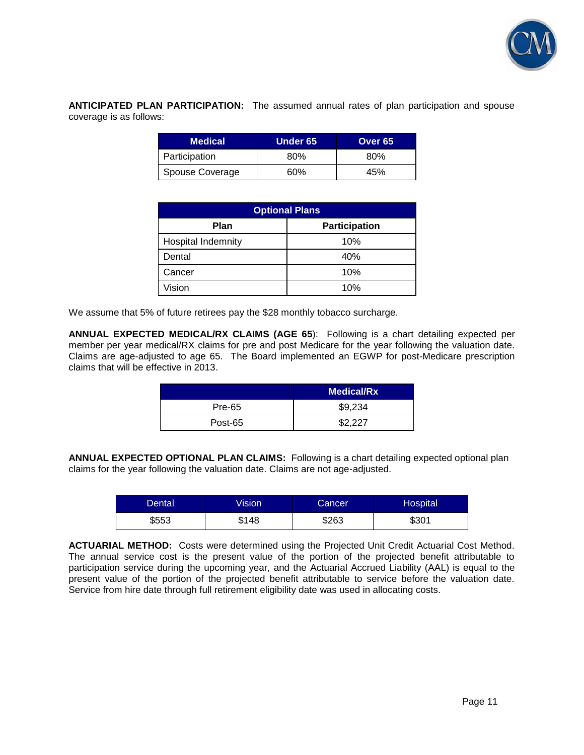![](_page_14_Picture_0.jpeg)

**ANTICIPATED PLAN PARTICIPATION:** The assumed annual rates of plan participation and spouse coverage is as follows:

| <b>Medical</b>  | Under 65 | Over 65 |
|-----------------|----------|---------|
| Participation   | 80%      | 80%     |
| Spouse Coverage | 60%      | 45%     |

| <b>Optional Plans</b>               |     |  |  |
|-------------------------------------|-----|--|--|
| <b>Participation</b><br><b>Plan</b> |     |  |  |
| <b>Hospital Indemnity</b>           | 10% |  |  |
| Dental                              | 40% |  |  |
| Cancer                              | 10% |  |  |
| Vision                              | 10% |  |  |

We assume that 5% of future retirees pay the \$28 monthly tobacco surcharge.

**ANNUAL EXPECTED MEDICAL/RX CLAIMS (AGE 65**): Following is a chart detailing expected per member per year medical/RX claims for pre and post Medicare for the year following the valuation date. Claims are age-adjusted to age 65. The Board implemented an EGWP for post-Medicare prescription claims that will be effective in 2013.

|               | <b>Medical/Rx</b> |
|---------------|-------------------|
| <b>Pre-65</b> | \$9,234           |
| Post-65       | \$2.227           |

**ANNUAL EXPECTED OPTIONAL PLAN CLAIMS:** Following is a chart detailing expected optional plan claims for the year following the valuation date. Claims are not age-adjusted.

| Dental | Vision' | Cancer | Hospital |
|--------|---------|--------|----------|
| \$553  | \$148   | \$263  | \$301    |

**ACTUARIAL METHOD:** Costs were determined using the Projected Unit Credit Actuarial Cost Method. The annual service cost is the present value of the portion of the projected benefit attributable to participation service during the upcoming year, and the Actuarial Accrued Liability (AAL) is equal to the present value of the portion of the projected benefit attributable to service before the valuation date. Service from hire date through full retirement eligibility date was used in allocating costs.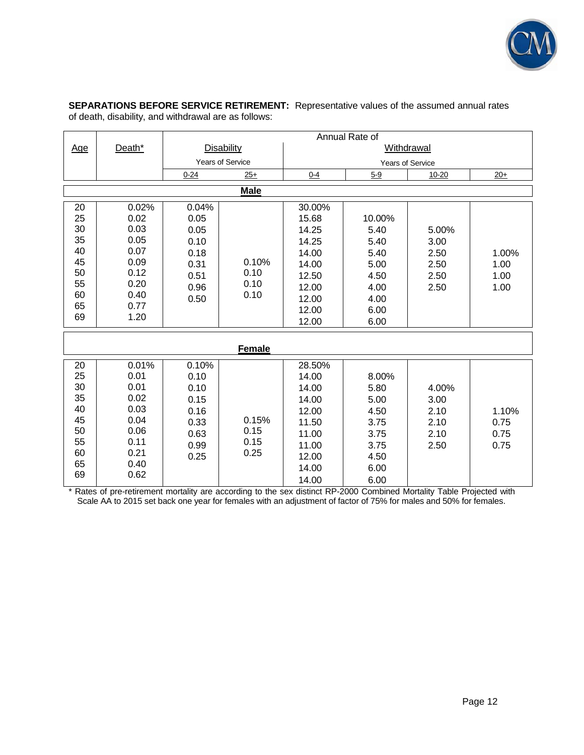![](_page_15_Picture_0.jpeg)

**SEPARATIONS BEFORE SERVICE RETIREMENT:** Representative values of the assumed annual rates of death, disability, and withdrawal are as follows:

|                                                                |                                                                                       | Annual Rate of                                                        |                               |                                                                                                  |                                                                                |                                               |                               |
|----------------------------------------------------------------|---------------------------------------------------------------------------------------|-----------------------------------------------------------------------|-------------------------------|--------------------------------------------------------------------------------------------------|--------------------------------------------------------------------------------|-----------------------------------------------|-------------------------------|
| <u>Age</u>                                                     | Death*                                                                                | <b>Disability</b>                                                     |                               |                                                                                                  | Withdrawal                                                                     |                                               |                               |
|                                                                |                                                                                       | <b>Years of Service</b>                                               |                               |                                                                                                  | <b>Years of Service</b>                                                        |                                               |                               |
|                                                                |                                                                                       | $0 - 24$                                                              | $25+$                         | $0 - 4$                                                                                          | $5 - 9$                                                                        | 10-20                                         | $20+$                         |
|                                                                |                                                                                       |                                                                       | <b>Male</b>                   |                                                                                                  |                                                                                |                                               |                               |
| 20<br>25<br>30<br>35<br>40<br>45<br>50<br>55<br>60<br>65<br>69 | 0.02%<br>0.02<br>0.03<br>0.05<br>0.07<br>0.09<br>0.12<br>0.20<br>0.40<br>0.77<br>1.20 | 0.04%<br>0.05<br>0.05<br>0.10<br>0.18<br>0.31<br>0.51<br>0.96<br>0.50 | 0.10%<br>0.10<br>0.10<br>0.10 | 30.00%<br>15.68<br>14.25<br>14.25<br>14.00<br>14.00<br>12.50<br>12.00<br>12.00<br>12.00<br>12.00 | 10.00%<br>5.40<br>5.40<br>5.40<br>5.00<br>4.50<br>4.00<br>4.00<br>6.00<br>6.00 | 5.00%<br>3.00<br>2.50<br>2.50<br>2.50<br>2.50 | 1.00%<br>1.00<br>1.00<br>1.00 |
|                                                                |                                                                                       |                                                                       | Female                        |                                                                                                  |                                                                                |                                               |                               |
| 20<br>25<br>30<br>35<br>40<br>45<br>50<br>55<br>60<br>65<br>69 | 0.01%<br>0.01<br>0.01<br>0.02<br>0.03<br>0.04<br>0.06<br>0.11<br>0.21<br>0.40<br>0.62 | 0.10%<br>0.10<br>0.10<br>0.15<br>0.16<br>0.33<br>0.63<br>0.99<br>0.25 | 0.15%<br>0.15<br>0.15<br>0.25 | 28.50%<br>14.00<br>14.00<br>14.00<br>12.00<br>11.50<br>11.00<br>11.00<br>12.00<br>14.00<br>14.00 | 8.00%<br>5.80<br>5.00<br>4.50<br>3.75<br>3.75<br>3.75<br>4.50<br>6.00<br>6.00  | 4.00%<br>3.00<br>2.10<br>2.10<br>2.10<br>2.50 | 1.10%<br>0.75<br>0.75<br>0.75 |

\* Rates of pre-retirement mortality are according to the sex distinct RP-2000 Combined Mortality Table Projected with Scale AA to 2015 set back one year for females with an adjustment of factor of 75% for males and 50% for females.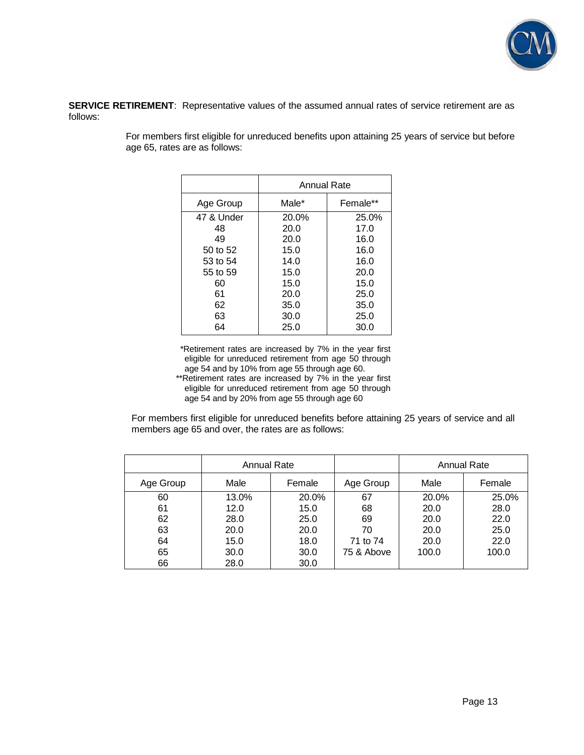![](_page_16_Picture_0.jpeg)

**SERVICE RETIREMENT**: Representative values of the assumed annual rates of service retirement are as follows:

|            | Annual Rate |          |  |
|------------|-------------|----------|--|
| Age Group  | Male*       | Female** |  |
| 47 & Under | 20.0%       | 25.0%    |  |
| 48         | 20.0        | 17.0     |  |
| 49         | 20.0        | 16.0     |  |
| 50 to 52   | 15.0        | 16.0     |  |
| 53 to 54   | 14.0        | 16.0     |  |
| 55 to 59   | 15.0        | 20.0     |  |
| 60         | 15.0        | 15.0     |  |
| 61         | 20.0        | 25.0     |  |
| 62         | 35.0        | 35.0     |  |
| 63         | 30.0        | 25.0     |  |
| 64         | 25.0        | 30.0     |  |

For members first eligible for unreduced benefits upon attaining 25 years of service but before age 65, rates are as follows:

> \*Retirement rates are increased by 7% in the year first eligible for unreduced retirement from age 50 through age 54 and by 10% from age 55 through age 60.

\*\*Retirement rates are increased by 7% in the year first eligible for unreduced retirement from age 50 through age 54 and by 20% from age 55 through age 60

For members first eligible for unreduced benefits before attaining 25 years of service and all members age 65 and over, the rates are as follows:

|           | Annual Rate |        |            |       | <b>Annual Rate</b> |
|-----------|-------------|--------|------------|-------|--------------------|
| Age Group | Male        | Female | Age Group  | Male  | Female             |
| 60        | 13.0%       | 20.0%  | 67         | 20.0% | 25.0%              |
| 61        | 12.0        | 15.0   | 68         | 20.0  | 28.0               |
| 62        | 28.0        | 25.0   | 69         | 20.0  | 22.0               |
| 63        | 20.0        | 20.0   | 70         | 20.0  | 25.0               |
| 64        | 15.0        | 18.0   | 71 to 74   | 20.0  | 22.0               |
| 65        | 30.0        | 30.0   | 75 & Above | 100.0 | 100.0              |
| 66        | 28.0        | 30.0   |            |       |                    |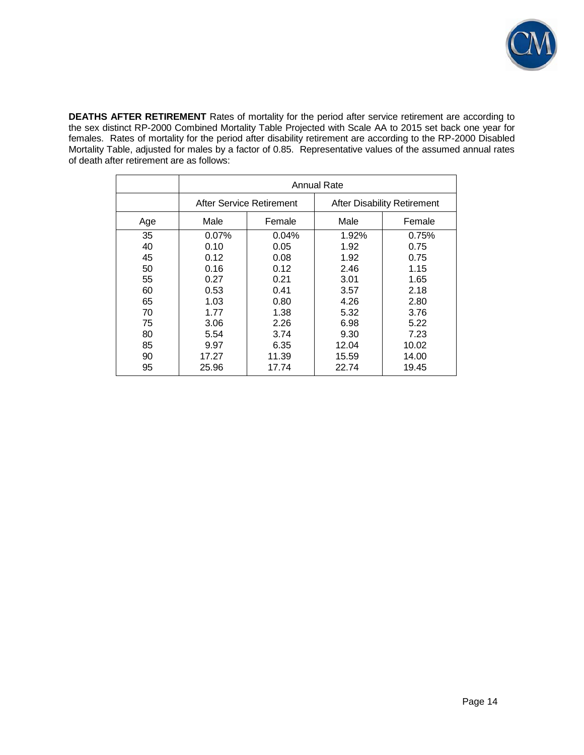![](_page_17_Picture_0.jpeg)

**DEATHS AFTER RETIREMENT** Rates of mortality for the period after service retirement are according to the sex distinct RP-2000 Combined Mortality Table Projected with Scale AA to 2015 set back one year for females. Rates of mortality for the period after disability retirement are according to the RP-2000 Disabled Mortality Table, adjusted for males by a factor of 0.85. Representative values of the assumed annual rates of death after retirement are as follows:

|     | Annual Rate              |        |                                    |        |
|-----|--------------------------|--------|------------------------------------|--------|
|     | After Service Retirement |        | <b>After Disability Retirement</b> |        |
| Age | Male                     | Female | Male                               | Female |
| 35  | $0.07\%$                 | 0.04%  | 1.92%                              | 0.75%  |
| 40  | 0.10                     | 0.05   | 1.92                               | 0.75   |
| 45  | 0.12                     | 0.08   | 1.92                               | 0.75   |
| 50  | 0.16                     | 0.12   | 2.46                               | 1.15   |
| 55  | 0.27                     | 0.21   | 3.01                               | 1.65   |
| 60  | 0.53                     | 0.41   | 3.57                               | 2.18   |
| 65  | 1.03                     | 0.80   | 4.26                               | 2.80   |
| 70  | 1.77                     | 1.38   | 5.32                               | 3.76   |
| 75  | 3.06                     | 2.26   | 6.98                               | 5.22   |
| 80  | 5.54                     | 3.74   | 9.30                               | 7.23   |
| 85  | 9.97                     | 6.35   | 12.04                              | 10.02  |
| 90  | 17.27                    | 11.39  | 15.59                              | 14.00  |
| 95  | 25.96                    | 17.74  | 22.74                              | 19.45  |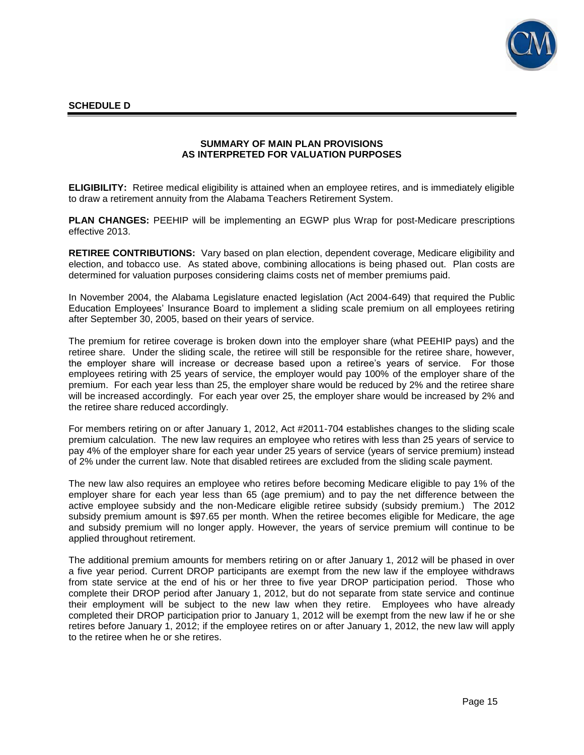![](_page_18_Picture_0.jpeg)

### **SUMMARY OF MAIN PLAN PROVISIONS AS INTERPRETED FOR VALUATION PURPOSES**

**ELIGIBILITY:** Retiree medical eligibility is attained when an employee retires, and is immediately eligible to draw a retirement annuity from the Alabama Teachers Retirement System.

**PLAN CHANGES:** PEEHIP will be implementing an EGWP plus Wrap for post-Medicare prescriptions effective 2013.

**RETIREE CONTRIBUTIONS:** Vary based on plan election, dependent coverage, Medicare eligibility and election, and tobacco use. As stated above, combining allocations is being phased out. Plan costs are determined for valuation purposes considering claims costs net of member premiums paid.

In November 2004, the Alabama Legislature enacted legislation (Act 2004-649) that required the Public Education Employees' Insurance Board to implement a sliding scale premium on all employees retiring after September 30, 2005, based on their years of service.

The premium for retiree coverage is broken down into the employer share (what PEEHIP pays) and the retiree share. Under the sliding scale, the retiree will still be responsible for the retiree share, however, the employer share will increase or decrease based upon a retiree's years of service. For those employees retiring with 25 years of service, the employer would pay 100% of the employer share of the premium. For each year less than 25, the employer share would be reduced by 2% and the retiree share will be increased accordingly. For each year over 25, the employer share would be increased by 2% and the retiree share reduced accordingly.

For members retiring on or after January 1, 2012, Act #2011-704 establishes changes to the sliding scale premium calculation. The new law requires an employee who retires with less than 25 years of service to pay 4% of the employer share for each year under 25 years of service (years of service premium) instead of 2% under the current law. Note that disabled retirees are excluded from the sliding scale payment.

The new law also requires an employee who retires before becoming Medicare eligible to pay 1% of the employer share for each year less than 65 (age premium) and to pay the net difference between the active employee subsidy and the non-Medicare eligible retiree subsidy (subsidy premium.) The 2012 subsidy premium amount is \$97.65 per month. When the retiree becomes eligible for Medicare, the age and subsidy premium will no longer apply. However, the years of service premium will continue to be applied throughout retirement.

The additional premium amounts for members retiring on or after January 1, 2012 will be phased in over a five year period. Current DROP participants are exempt from the new law if the employee withdraws from state service at the end of his or her three to five year DROP participation period. Those who complete their DROP period after January 1, 2012, but do not separate from state service and continue their employment will be subject to the new law when they retire. Employees who have already completed their DROP participation prior to January 1, 2012 will be exempt from the new law if he or she retires before January 1, 2012; if the employee retires on or after January 1, 2012, the new law will apply to the retiree when he or she retires.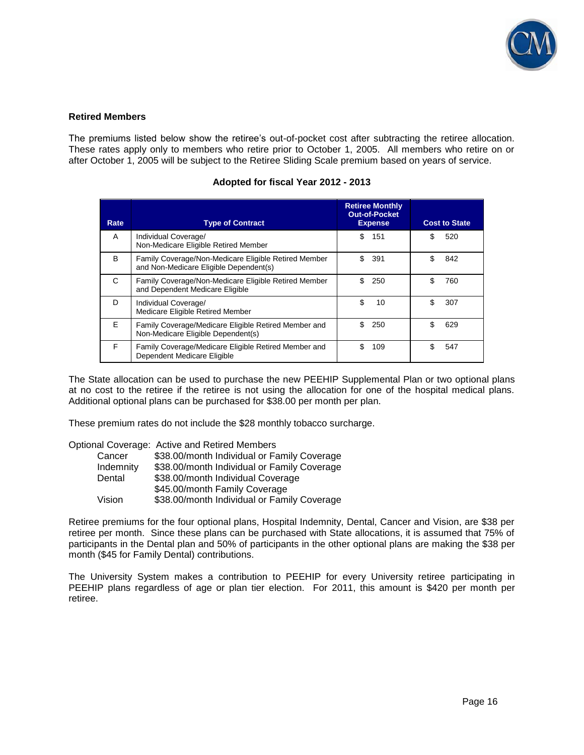![](_page_19_Picture_0.jpeg)

### **Retired Members**

The premiums listed below show the retiree's out-of-pocket cost after subtracting the retiree allocation. These rates apply only to members who retire prior to October 1, 2005. All members who retire on or after October 1, 2005 will be subject to the Retiree Sliding Scale premium based on years of service.

| Rate | <b>Type of Contract</b>                              | <b>Retiree Monthly</b><br><b>Out-of-Pocket</b><br><b>Expense</b> | <b>Cost to State</b> |
|------|------------------------------------------------------|------------------------------------------------------------------|----------------------|
| A    | Individual Coverage/                                 | S                                                                | \$                   |
|      | Non-Medicare Eligible Retired Member                 | 151                                                              | 520                  |
| B    | Family Coverage/Non-Medicare Eligible Retired Member | \$                                                               | \$                   |
|      | and Non-Medicare Eligible Dependent(s)               | 391                                                              | 842                  |
| C    | Family Coverage/Non-Medicare Eligible Retired Member | \$.                                                              | \$                   |
|      | and Dependent Medicare Eligible                      | 250                                                              | 760                  |
| D    | Individual Coverage/                                 | \$                                                               | \$                   |
|      | Medicare Eligible Retired Member                     | 10                                                               | 307                  |
| Е    | Family Coverage/Medicare Eligible Retired Member and | \$.                                                              | \$                   |
|      | Non-Medicare Eligible Dependent(s)                   | 250                                                              | 629                  |
| F    | Family Coverage/Medicare Eligible Retired Member and | \$                                                               | \$                   |
|      | Dependent Medicare Eligible                          | 109                                                              | 547                  |

### **Adopted for fiscal Year 2012 - 2013**

The State allocation can be used to purchase the new PEEHIP Supplemental Plan or two optional plans at no cost to the retiree if the retiree is not using the allocation for one of the hospital medical plans. Additional optional plans can be purchased for \$38.00 per month per plan.

These premium rates do not include the \$28 monthly tobacco surcharge.

|           | Optional Coverage: Active and Retired Members |
|-----------|-----------------------------------------------|
| Cancer    | \$38.00/month Individual or Family Coverage   |
| Indemnity | \$38.00/month Individual or Family Coverage   |
| Dental    | \$38.00/month Individual Coverage             |
|           | \$45.00/month Family Coverage                 |
| Vision    | \$38.00/month Individual or Family Coverage   |

Retiree premiums for the four optional plans, Hospital Indemnity, Dental, Cancer and Vision, are \$38 per retiree per month. Since these plans can be purchased with State allocations, it is assumed that 75% of participants in the Dental plan and 50% of participants in the other optional plans are making the \$38 per month (\$45 for Family Dental) contributions.

The University System makes a contribution to PEEHIP for every University retiree participating in PEEHIP plans regardless of age or plan tier election. For 2011, this amount is \$420 per month per retiree.